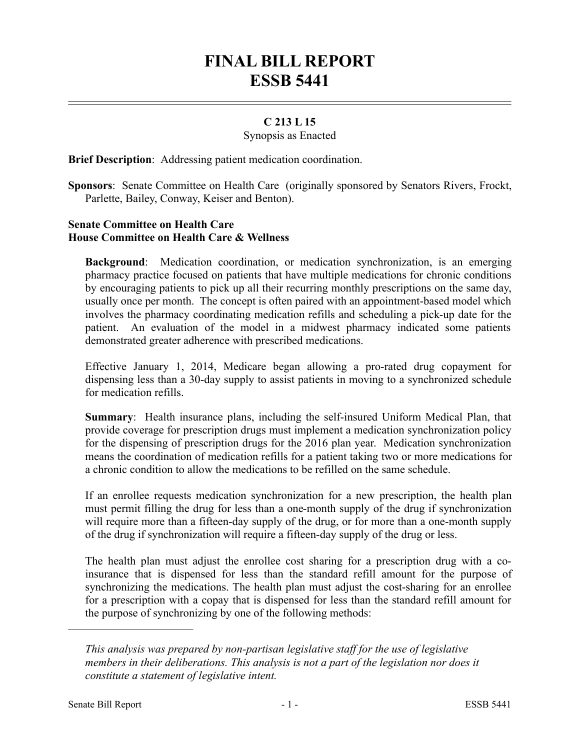# **FINAL BILL REPORT ESSB 5441**

## **C 213 L 15**

#### Synopsis as Enacted

**Brief Description**: Addressing patient medication coordination.

**Sponsors**: Senate Committee on Health Care (originally sponsored by Senators Rivers, Frockt, Parlette, Bailey, Conway, Keiser and Benton).

## **Senate Committee on Health Care House Committee on Health Care & Wellness**

**Background**: Medication coordination, or medication synchronization, is an emerging pharmacy practice focused on patients that have multiple medications for chronic conditions by encouraging patients to pick up all their recurring monthly prescriptions on the same day, usually once per month. The concept is often paired with an appointment-based model which involves the pharmacy coordinating medication refills and scheduling a pick-up date for the patient. An evaluation of the model in a midwest pharmacy indicated some patients demonstrated greater adherence with prescribed medications.

Effective January 1, 2014, Medicare began allowing a pro-rated drug copayment for dispensing less than a 30-day supply to assist patients in moving to a synchronized schedule for medication refills.

**Summary**: Health insurance plans, including the self-insured Uniform Medical Plan, that provide coverage for prescription drugs must implement a medication synchronization policy for the dispensing of prescription drugs for the 2016 plan year. Medication synchronization means the coordination of medication refills for a patient taking two or more medications for a chronic condition to allow the medications to be refilled on the same schedule.

If an enrollee requests medication synchronization for a new prescription, the health plan must permit filling the drug for less than a one-month supply of the drug if synchronization will require more than a fifteen-day supply of the drug, or for more than a one-month supply of the drug if synchronization will require a fifteen-day supply of the drug or less.

The health plan must adjust the enrollee cost sharing for a prescription drug with a coinsurance that is dispensed for less than the standard refill amount for the purpose of synchronizing the medications. The health plan must adjust the cost-sharing for an enrollee for a prescription with a copay that is dispensed for less than the standard refill amount for the purpose of synchronizing by one of the following methods:

––––––––––––––––––––––

*This analysis was prepared by non-partisan legislative staff for the use of legislative members in their deliberations. This analysis is not a part of the legislation nor does it constitute a statement of legislative intent.*